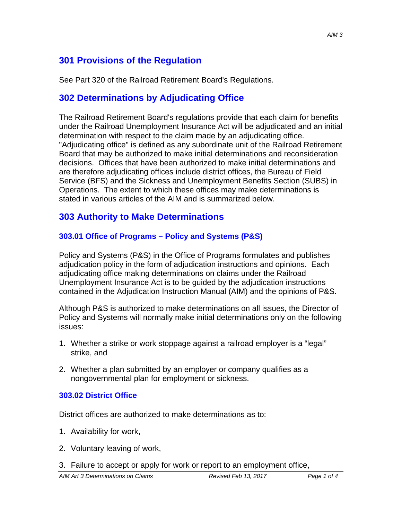# **301 Provisions of the Regulation**

See Part 320 of the Railroad Retirement Board's Regulations.

### **302 Determinations by Adjudicating Office**

The Railroad Retirement Board's regulations provide that each claim for benefits under the Railroad Unemployment Insurance Act will be adjudicated and an initial determination with respect to the claim made by an adjudicating office. "Adjudicating office" is defined as any subordinate unit of the Railroad Retirement Board that may be authorized to make initial determinations and reconsideration decisions. Offices that have been authorized to make initial determinations and are therefore adjudicating offices include district offices, the Bureau of Field Service (BFS) and the Sickness and Unemployment Benefits Section (SUBS) in Operations. The extent to which these offices may make determinations is stated in various articles of the AIM and is summarized below.

### **303 Authority to Make Determinations**

#### **303.01 Office of Programs – Policy and Systems (P&S)**

Policy and Systems (P&S) in the Office of Programs formulates and publishes adjudication policy in the form of adjudication instructions and opinions. Each adjudicating office making determinations on claims under the Railroad Unemployment Insurance Act is to be guided by the adjudication instructions contained in the Adjudication Instruction Manual (AIM) and the opinions of P&S.

Although P&S is authorized to make determinations on all issues, the Director of Policy and Systems will normally make initial determinations only on the following issues:

- 1. Whether a strike or work stoppage against a railroad employer is a "legal" strike, and
- 2. Whether a plan submitted by an employer or company qualifies as a nongovernmental plan for employment or sickness.

#### **303.02 District Office**

District offices are authorized to make determinations as to:

- 1. Availability for work,
- 2. Voluntary leaving of work,
- 3. Failure to accept or apply for work or report to an employment office,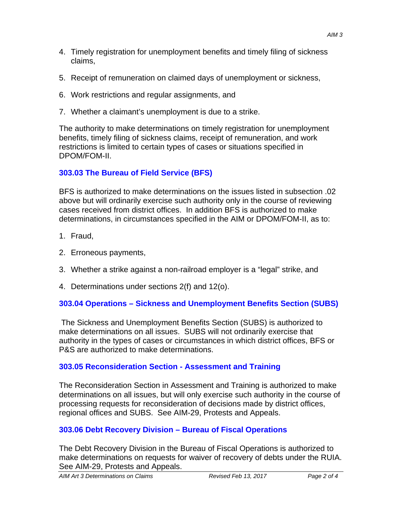- 4. Timely registration for unemployment benefits and timely filing of sickness claims,
- 5. Receipt of remuneration on claimed days of unemployment or sickness,
- 6. Work restrictions and regular assignments, and
- 7. Whether a claimant's unemployment is due to a strike.

The authority to make determinations on timely registration for unemployment benefits, timely filing of sickness claims, receipt of remuneration, and work restrictions is limited to certain types of cases or situations specified in DPOM/FOM-II.

#### **303.03 The Bureau of Field Service (BFS)**

BFS is authorized to make determinations on the issues listed in subsection .02 above but will ordinarily exercise such authority only in the course of reviewing cases received from district offices. In addition BFS is authorized to make determinations, in circumstances specified in the AIM or DPOM/FOM-II, as to:

- 1. Fraud,
- 2. Erroneous payments,
- 3. Whether a strike against a non-railroad employer is a "legal" strike, and
- 4. Determinations under sections 2(f) and 12(o).

#### **303.04 Operations – Sickness and Unemployment Benefits Section (SUBS)**

 The Sickness and Unemployment Benefits Section (SUBS) is authorized to make determinations on all issues. SUBS will not ordinarily exercise that authority in the types of cases or circumstances in which district offices, BFS or P&S are authorized to make determinations.

## **303.05 Reconsideration Section - Assessment and Training**

The Reconsideration Section in Assessment and Training is authorized to make determinations on all issues, but will only exercise such authority in the course of processing requests for reconsideration of decisions made by district offices, regional offices and SUBS. See AIM-29, Protests and Appeals.

## **303.06 Debt Recovery Division – Bureau of Fiscal Operations**

The Debt Recovery Division in the Bureau of Fiscal Operations is authorized to make determinations on requests for waiver of recovery of debts under the RUIA. See AIM-29, Protests and Appeals.